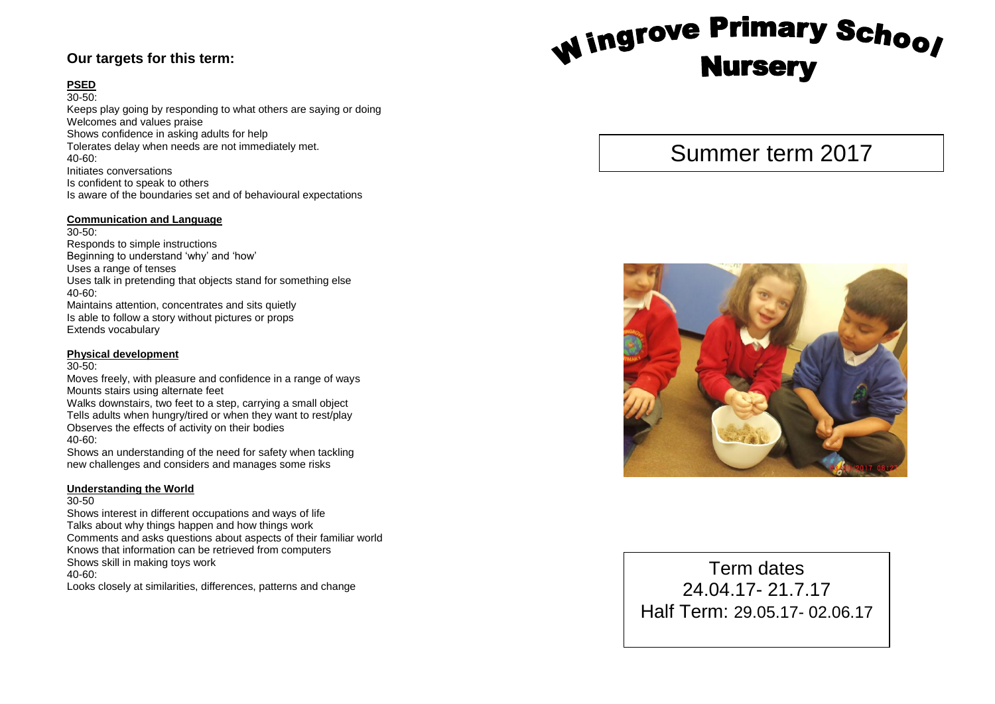### **Our targets for this term:**

### **PSED**

30 -50: Keep s play going by responding to what others are saying or doing Welcomes and values praise Shows confidence in asking adults for help Tolerate s delay when needs are not immediately met. 40 -60: Initiate s conversations Is confident to speak to others Is aware of the boundaries set and of behavioural expectations

#### **Communication and Language**

30 -50: Responds to simple instructions Beginning to understand 'why' and 'how' Use s a range of tenses Use s talk in pretending that objects stand for something else 40 -60: Maintains attention, concentrates and sits quietly Is able to follow a story without pictures or props Extends vocabulary

#### **Physical development**

30 -50:

Moves freely, with pleasure and confidence in a range of way s Mounts stairs using alternate feet Walks downstairs, two feet to a step, carrying a small object Tell s adults when hungry/tired or when they want to rest/play

Observes the effects of activity on their bodies 40 -60:

Shows an understanding of the need for safety when tackling new challenges and considers and manages some risks

### **Understanding the World**

#### 30 -50

Shows interest in different occupations and ways of life Talks about why things happen and how things work Comments and asks questions about aspects of their familiar world Knows that information can be retrieved from computers Shows skill in making toys work 40 -60: Looks closely at similarities, differences, patterns and change

# Wingrove Primary School **Nursery**

# Summer term 2017



Term dates 24.04.1 7 - 21.7.17 Half Term: 29.05.17- 02.06.17